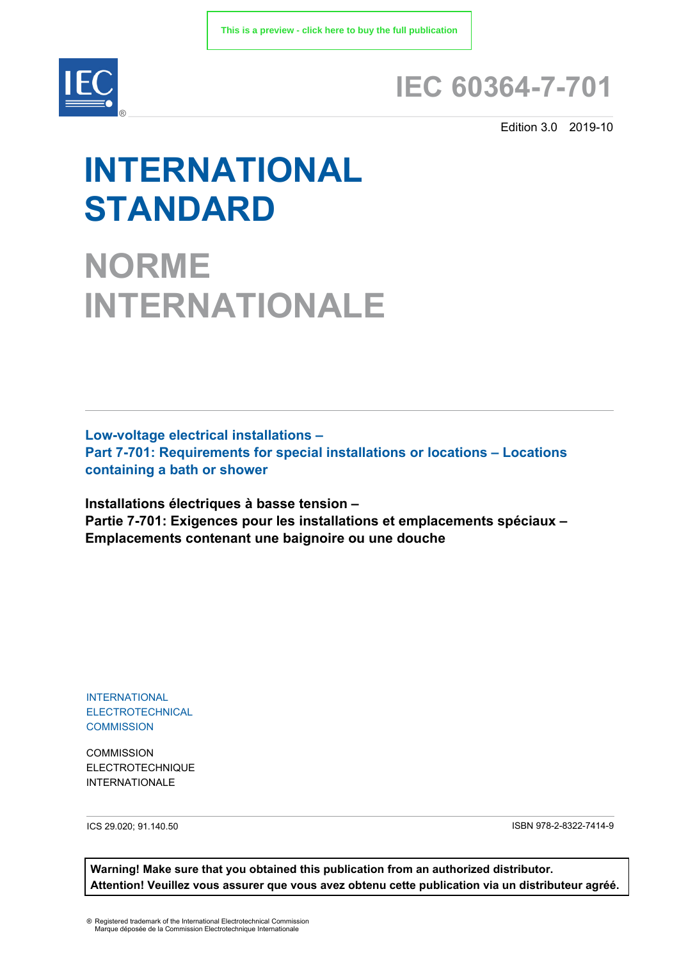

# **IEC 60364-7-701**

Edition 3.0 2019-10

# **INTERNATIONAL STANDARD**

**NORME INTERNATIONALE**

**Low-voltage electrical installations – Part 7-701: Requirements for special installations or locations – Locations containing a bath or shower**

**Installations électriques à basse tension – Partie 7-701: Exigences pour les installations et emplacements spéciaux – Emplacements contenant une baignoire ou une douche**

INTERNATIONAL ELECTROTECHNICAL **COMMISSION** 

**COMMISSION** ELECTROTECHNIQUE INTERNATIONALE

ICS 29.020; 91.140.50 ISBN 978-2-8322-7414-9

**Warning! Make sure that you obtained this publication from an authorized distributor. Attention! Veuillez vous assurer que vous avez obtenu cette publication via un distributeur agréé.**

® Registered trademark of the International Electrotechnical Commission Marque déposée de la Commission Electrotechnique Internationale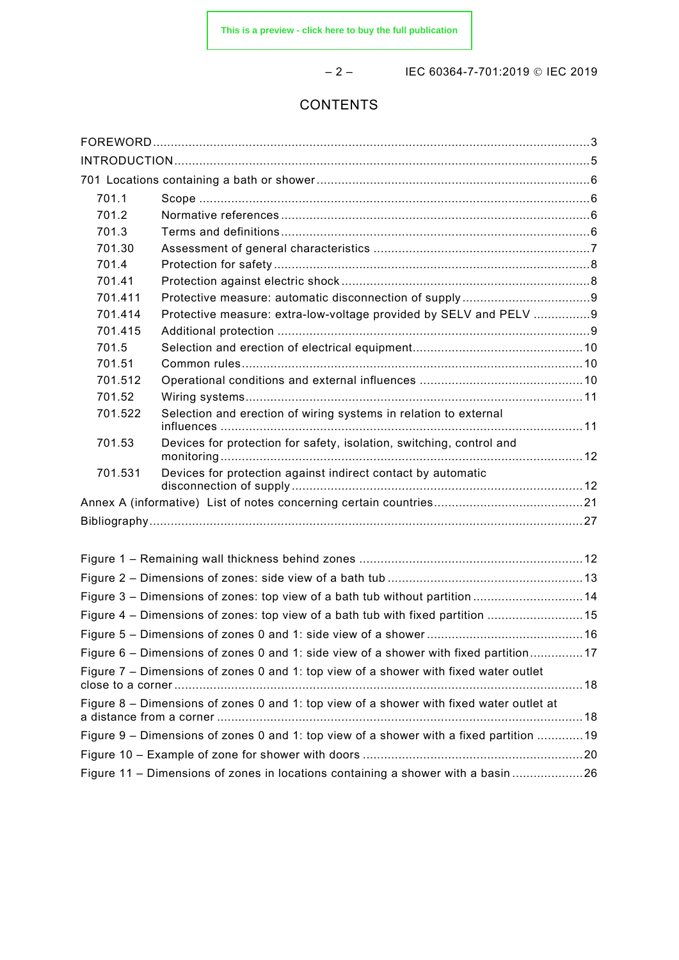– 2 – IEC 60364-7-701:2019 IEC 2019

# CONTENTS

| 701.1                                                                                  |                                                                                         |  |  |
|----------------------------------------------------------------------------------------|-----------------------------------------------------------------------------------------|--|--|
| 701.2                                                                                  |                                                                                         |  |  |
| 701.3                                                                                  |                                                                                         |  |  |
| 701.30                                                                                 |                                                                                         |  |  |
| 701.4                                                                                  |                                                                                         |  |  |
| 701.41                                                                                 |                                                                                         |  |  |
| 701.411                                                                                |                                                                                         |  |  |
| 701.414                                                                                | Protective measure: extra-low-voltage provided by SELV and PELV 9                       |  |  |
| 701.415                                                                                |                                                                                         |  |  |
| 701.5                                                                                  |                                                                                         |  |  |
| 701.51                                                                                 |                                                                                         |  |  |
| 701.512                                                                                |                                                                                         |  |  |
| 701.52                                                                                 |                                                                                         |  |  |
| 701.522                                                                                | Selection and erection of wiring systems in relation to external                        |  |  |
| 701.53                                                                                 | Devices for protection for safety, isolation, switching, control and                    |  |  |
| 701.531                                                                                | Devices for protection against indirect contact by automatic                            |  |  |
|                                                                                        |                                                                                         |  |  |
|                                                                                        |                                                                                         |  |  |
|                                                                                        |                                                                                         |  |  |
|                                                                                        |                                                                                         |  |  |
| Figure 3 – Dimensions of zones: top view of a bath tub without partition  14           |                                                                                         |  |  |
| Figure 4 – Dimensions of zones: top view of a bath tub with fixed partition 15         |                                                                                         |  |  |
|                                                                                        |                                                                                         |  |  |
|                                                                                        | Figure 6 - Dimensions of zones 0 and 1: side view of a shower with fixed partition17    |  |  |
|                                                                                        | Figure 7 – Dimensions of zones 0 and 1: top view of a shower with fixed water outlet    |  |  |
|                                                                                        | Figure 8 - Dimensions of zones 0 and 1: top view of a shower with fixed water outlet at |  |  |
|                                                                                        |                                                                                         |  |  |
| Figure 9 – Dimensions of zones 0 and 1: top view of a shower with a fixed partition 19 |                                                                                         |  |  |
|                                                                                        |                                                                                         |  |  |
|                                                                                        | Figure 11 - Dimensions of zones in locations containing a shower with a basin 26        |  |  |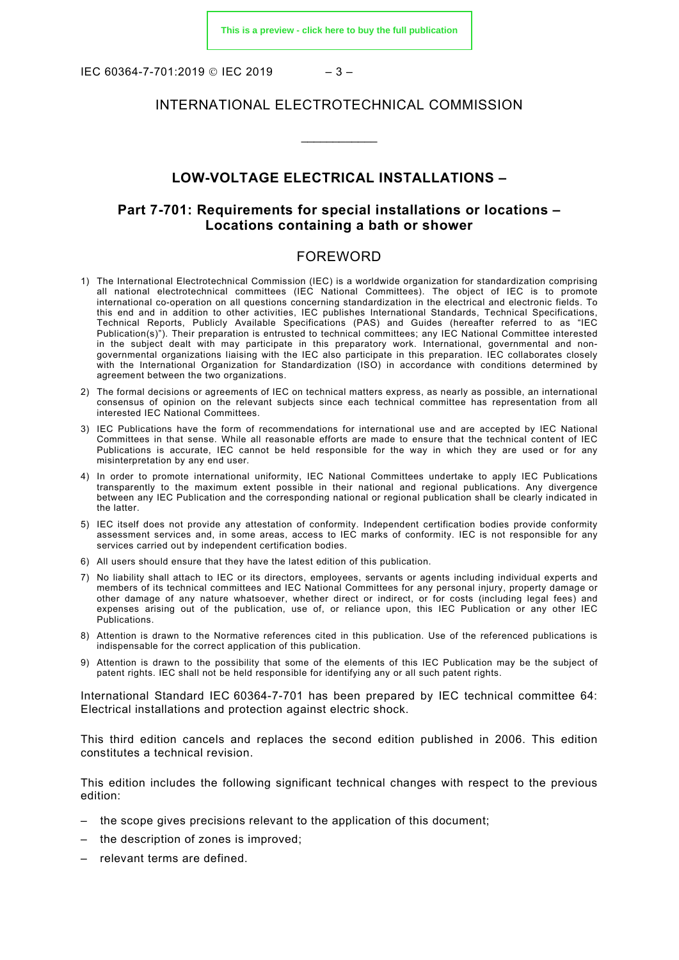IEC 60364-7-701:2019 © IEC 2019 – 3 –

# INTERNATIONAL ELECTROTECHNICAL COMMISSION

\_\_\_\_\_\_\_\_\_\_\_\_

# **LOW-VOLTAGE ELECTRICAL INSTALLATIONS –**

# **Part 7-701: Requirements for special installations or locations – Locations containing a bath or shower**

#### FOREWORD

- <span id="page-2-0"></span>1) The International Electrotechnical Commission (IEC) is a worldwide organization for standardization comprising all national electrotechnical committees (IEC National Committees). The object of IEC is to promote international co-operation on all questions concerning standardization in the electrical and electronic fields. To this end and in addition to other activities, IEC publishes International Standards, Technical Specifications, Technical Reports, Publicly Available Specifications (PAS) and Guides (hereafter referred to as "IEC Publication(s)"). Their preparation is entrusted to technical committees; any IEC National Committee interested in the subject dealt with may participate in this preparatory work. International, governmental and nongovernmental organizations liaising with the IEC also participate in this preparation. IEC collaborates closely with the International Organization for Standardization (ISO) in accordance with conditions determined by agreement between the two organizations.
- 2) The formal decisions or agreements of IEC on technical matters express, as nearly as possible, an international consensus of opinion on the relevant subjects since each technical committee has representation from all interested IEC National Committees.
- 3) IEC Publications have the form of recommendations for international use and are accepted by IEC National Committees in that sense. While all reasonable efforts are made to ensure that the technical content of IEC Publications is accurate, IEC cannot be held responsible for the way in which they are used or for any misinterpretation by any end user.
- 4) In order to promote international uniformity, IEC National Committees undertake to apply IEC Publications transparently to the maximum extent possible in their national and regional publications. Any divergence between any IEC Publication and the corresponding national or regional publication shall be clearly indicated in the latter.
- 5) IEC itself does not provide any attestation of conformity. Independent certification bodies provide conformity assessment services and, in some areas, access to IEC marks of conformity. IEC is not responsible for any services carried out by independent certification bodies.
- 6) All users should ensure that they have the latest edition of this publication.
- 7) No liability shall attach to IEC or its directors, employees, servants or agents including individual experts and members of its technical committees and IEC National Committees for any personal injury, property damage or other damage of any nature whatsoever, whether direct or indirect, or for costs (including legal fees) and expenses arising out of the publication, use of, or reliance upon, this IEC Publication or any other IEC Publications.
- 8) Attention is drawn to the Normative references cited in this publication. Use of the referenced publications is indispensable for the correct application of this publication.
- 9) Attention is drawn to the possibility that some of the elements of this IEC Publication may be the subject of patent rights. IEC shall not be held responsible for identifying any or all such patent rights.

International Standard IEC 60364-7-701 has been prepared by IEC technical committee 64: Electrical installations and protection against electric shock.

This third edition cancels and replaces the second edition published in 2006. This edition constitutes a technical revision.

This edition includes the following significant technical changes with respect to the previous edition:

- the scope gives precisions relevant to the application of this document;
- the description of zones is improved;
- relevant terms are defined.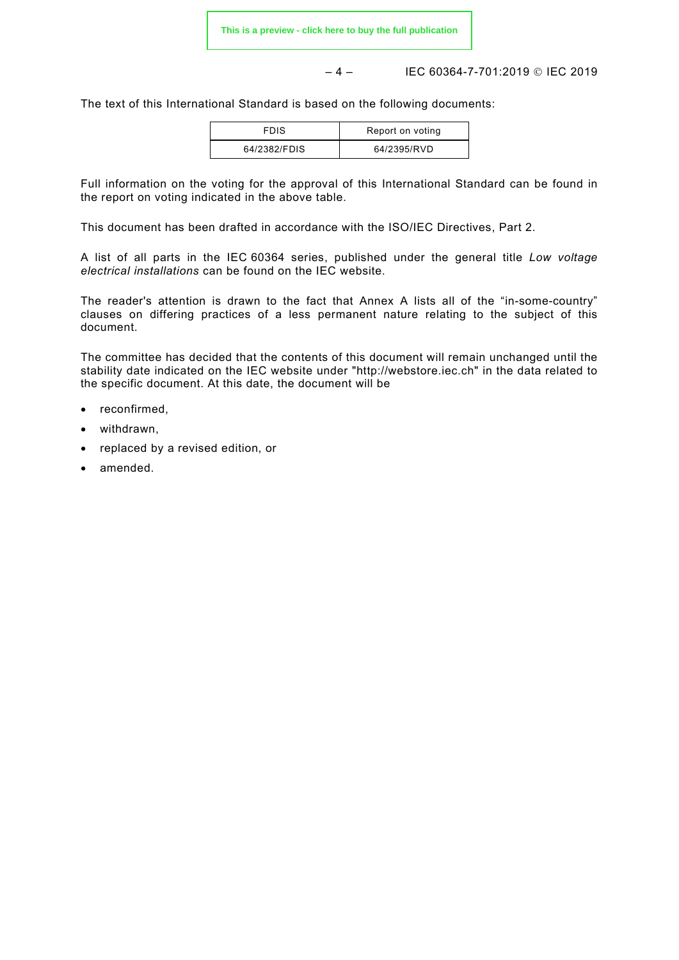$-4 -$  IEC 60364-7-701:2019 © IEC 2019

The text of this International Standard is based on the following documents:

| <b>FDIS</b>  | Report on voting |
|--------------|------------------|
| 64/2382/FDIS | 64/2395/RVD      |

Full information on the voting for the approval of this International Standard can be found in the report on voting indicated in the above table.

This document has been drafted in accordance with the ISO/IEC Directives, Part 2.

A list of all parts in the IEC 60364 series, published under the general title *Low voltage electrical installations* can be found on the IEC website.

The reader's attention is drawn to the fact that Annex A lists all of the "in-some-country" clauses on differing practices of a less permanent nature relating to the subject of this document.

The committee has decided that the contents of this document will remain unchanged until the stability date indicated on the IEC website under "http://webstore.iec.ch" in the data related to the specific document. At this date, the document will be

- reconfirmed,
- withdrawn,
- replaced by a revised edition, or
- amended.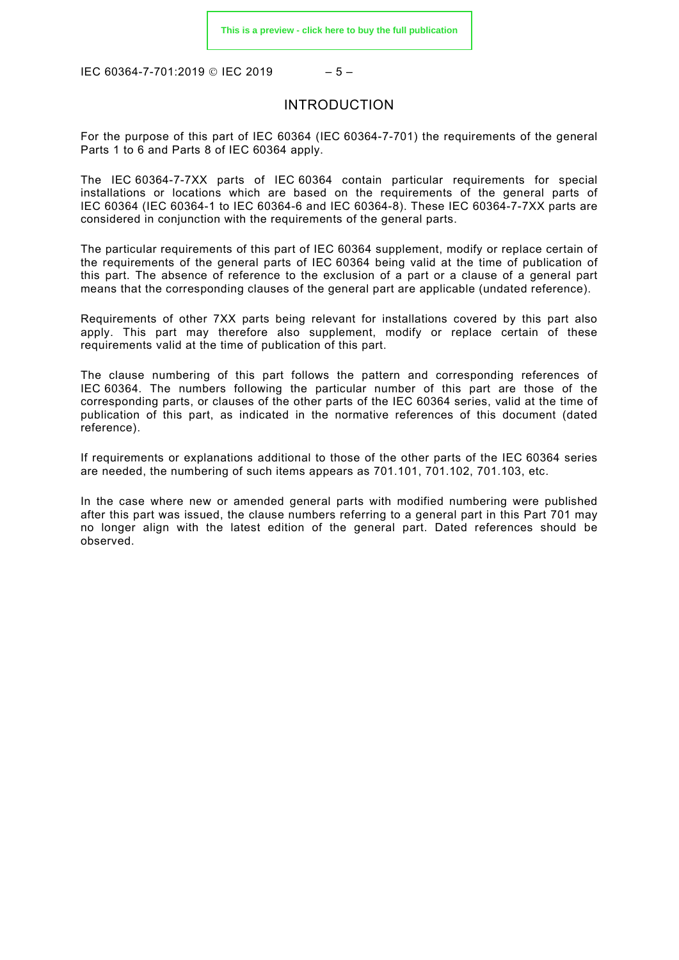<span id="page-4-0"></span>IEC 60364-7-701:2019 © IEC 2019 - 5 –

# INTRODUCTION

For the purpose of this part of IEC 60364 (IEC 60364-7-701) the requirements of the general Parts 1 to 6 and Parts 8 of IEC 60364 apply.

The IEC 60364-7-7XX parts of IEC 60364 contain particular requirements for special installations or locations which are based on the requirements of the general parts of IEC 60364 (IEC 60364-1 to IEC 60364-6 and IEC 60364-8). These IEC 60364-7-7XX parts are considered in conjunction with the requirements of the general parts.

The particular requirements of this part of IEC 60364 supplement, modify or replace certain of the requirements of the general parts of IEC 60364 being valid at the time of publication of this part. The absence of reference to the exclusion of a part or a clause of a general part means that the corresponding clauses of the general part are applicable (undated reference).

Requirements of other 7XX parts being relevant for installations covered by this part also apply. This part may therefore also supplement, modify or replace certain of these requirements valid at the time of publication of this part.

The clause numbering of this part follows the pattern and corresponding references of IEC 60364. The numbers following the particular number of this part are those of the corresponding parts, or clauses of the other parts of the IEC 60364 series, valid at the time of publication of this part, as indicated in the normative references of this document (dated reference).

If requirements or explanations additional to those of the other parts of the IEC 60364 series are needed, the numbering of such items appears as 701.101, 701.102, 701.103, etc.

In the case where new or amended general parts with modified numbering were published after this part was issued, the clause numbers referring to a general part in this Part 701 may no longer align with the latest edition of the general part. Dated references should be observed.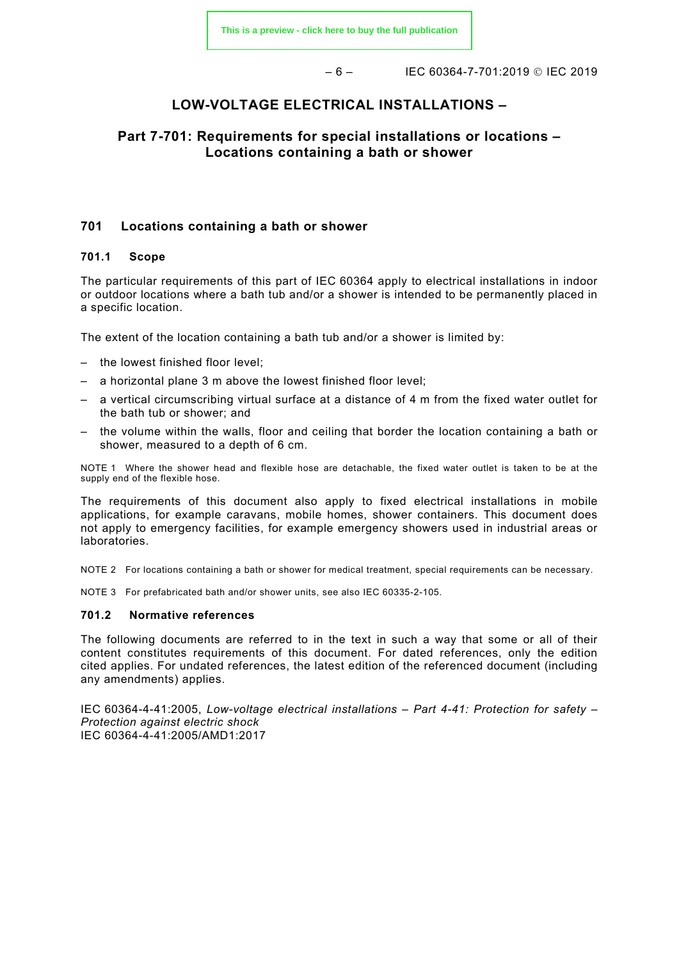$-6 -$  IFC 60364-7-701:2019 © IFC 2019

# **LOW-VOLTAGE ELECTRICAL INSTALLATIONS –**

# **Part 7-701: Requirements for special installations or locations – Locations containing a bath or shower**

# <span id="page-5-0"></span>**701 Locations containing a bath or shower**

#### <span id="page-5-1"></span>**701.1 Scope**

The particular requirements of this part of IEC 60364 apply to electrical installations in indoor or outdoor locations where a bath tub and/or a shower is intended to be permanently placed in a specific location.

The extent of the location containing a bath tub and/or a shower is limited by:

- the lowest finished floor level;
- a horizontal plane 3 m above the lowest finished floor level;
- a vertical circumscribing virtual surface at a distance of 4 m from the fixed water outlet for the bath tub or shower; and
- the volume within the walls, floor and ceiling that border the location containing a bath or shower, measured to a depth of 6 cm.

NOTE 1 Where the shower head and flexible hose are detachable, the fixed water outlet is taken to be at the supply end of the flexible hose.

The requirements of this document also apply to fixed electrical installations in mobile applications, for example caravans, mobile homes, shower containers. This document does not apply to emergency facilities, for example emergency showers used in industrial areas or laboratories.

NOTE 2 For locations containing a bath or shower for medical treatment, special requirements can be necessary.

NOTE 3 For prefabricated bath and/or shower units, see also IEC 60335-2-105.

#### <span id="page-5-2"></span>**701.2 Normative references**

The following documents are referred to in the text in such a way that some or all of their content constitutes requirements of this document. For dated references, only the edition cited applies. For undated references, the latest edition of the referenced document (including any amendments) applies.

<span id="page-5-3"></span>IEC 60364-4-41:2005, *Low-voltage electrical installations – Part 4-41: Protection for safety – Protection against electric shock*  IEC 60364-4-41:2005/AMD1:2017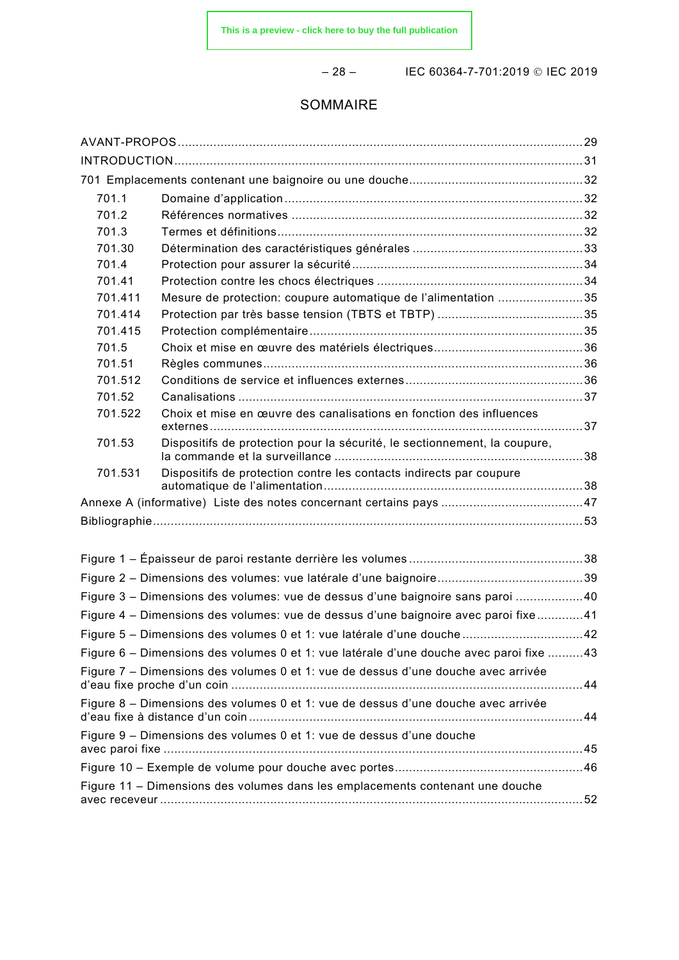– 28 – IEC 60364-7-701:2019 IEC 2019

# SOMMAIRE

| 701.1   |                                                                                        |  |  |
|---------|----------------------------------------------------------------------------------------|--|--|
| 701.2   |                                                                                        |  |  |
| 701.3   |                                                                                        |  |  |
| 701.30  |                                                                                        |  |  |
| 701.4   |                                                                                        |  |  |
| 701.41  |                                                                                        |  |  |
| 701.411 | Mesure de protection: coupure automatique de l'alimentation 35                         |  |  |
| 701.414 |                                                                                        |  |  |
| 701.415 |                                                                                        |  |  |
| 701.5   |                                                                                        |  |  |
| 701.51  |                                                                                        |  |  |
| 701.512 |                                                                                        |  |  |
| 701.52  |                                                                                        |  |  |
| 701.522 | Choix et mise en œuvre des canalisations en fonction des influences                    |  |  |
| 701.53  | Dispositifs de protection pour la sécurité, le sectionnement, la coupure,              |  |  |
| 701.531 | Dispositifs de protection contre les contacts indirects par coupure                    |  |  |
|         |                                                                                        |  |  |
|         |                                                                                        |  |  |
|         |                                                                                        |  |  |
|         |                                                                                        |  |  |
|         |                                                                                        |  |  |
|         | Figure 3 - Dimensions des volumes: vue de dessus d'une baignoire sans paroi 40         |  |  |
|         | Figure 4 - Dimensions des volumes: vue de dessus d'une baignoire avec paroi fixe 41    |  |  |
|         | Figure 5 - Dimensions des volumes 0 et 1: vue latérale d'une douche 42                 |  |  |
|         | Figure 6 - Dimensions des volumes 0 et 1: vue latérale d'une douche avec paroi fixe 43 |  |  |
|         | Figure 7 – Dimensions des volumes 0 et 1: vue de dessus d'une douche avec arrivée      |  |  |
|         | Figure 8 – Dimensions des volumes 0 et 1: vue de dessus d'une douche avec arrivée      |  |  |
|         | Figure 9 - Dimensions des volumes 0 et 1: vue de dessus d'une douche                   |  |  |
|         |                                                                                        |  |  |
|         | Figure 11 - Dimensions des volumes dans les emplacements contenant une douche          |  |  |
|         |                                                                                        |  |  |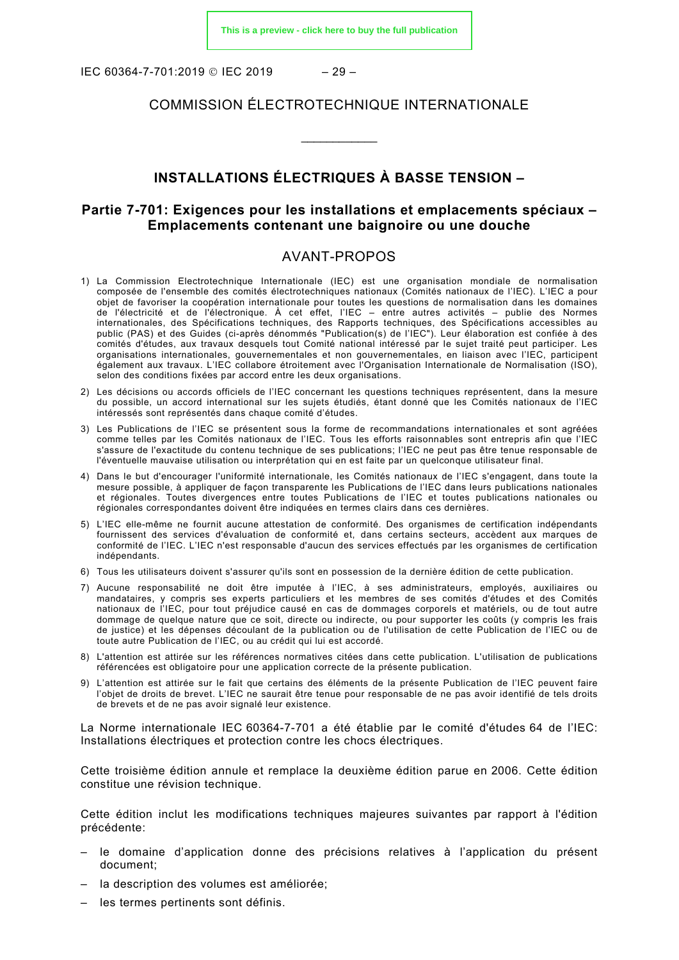IEC 60364-7-701:2019 © IEC 2019 - 29 -

# COMMISSION ÉLECTROTECHNIQUE INTERNATIONALE

\_\_\_\_\_\_\_\_\_\_\_\_

# **INSTALLATIONS ÉLECTRIQUES À BASSE TENSION –**

# **Partie 7-701: Exigences pour les installations et emplacements spéciaux – Emplacements contenant une baignoire ou une douche**

# AVANT-PROPOS

- <span id="page-7-0"></span>1) La Commission Electrotechnique Internationale (IEC) est une organisation mondiale de normalisation composée de l'ensemble des comités électrotechniques nationaux (Comités nationaux de l'IEC). L'IEC a pour objet de favoriser la coopération internationale pour toutes les questions de normalisation dans les domaines de l'électricité et de l'électronique. À cet effet, l'IEC – entre autres activités – publie des Normes internationales, des Spécifications techniques, des Rapports techniques, des Spécifications accessibles au public (PAS) et des Guides (ci-après dénommés "Publication(s) de l'IEC"). Leur élaboration est confiée à des comités d'études, aux travaux desquels tout Comité national intéressé par le sujet traité peut participer. Les organisations internationales, gouvernementales et non gouvernementales, en liaison avec l'IEC, participent également aux travaux. L'IEC collabore étroitement avec l'Organisation Internationale de Normalisation (ISO), selon des conditions fixées par accord entre les deux organisations.
- 2) Les décisions ou accords officiels de l'IEC concernant les questions techniques représentent, dans la mesure du possible, un accord international sur les sujets étudiés, étant donné que les Comités nationaux de l'IEC intéressés sont représentés dans chaque comité d'études.
- 3) Les Publications de l'IEC se présentent sous la forme de recommandations internationales et sont agréées comme telles par les Comités nationaux de l'IEC. Tous les efforts raisonnables sont entrepris afin que l'IEC s'assure de l'exactitude du contenu technique de ses publications; l'IEC ne peut pas être tenue responsable de l'éventuelle mauvaise utilisation ou interprétation qui en est faite par un quelconque utilisateur final.
- 4) Dans le but d'encourager l'uniformité internationale, les Comités nationaux de l'IEC s'engagent, dans toute la mesure possible, à appliquer de façon transparente les Publications de l'IEC dans leurs publications nationales et régionales. Toutes divergences entre toutes Publications de l'IEC et toutes publications nationales ou régionales correspondantes doivent être indiquées en termes clairs dans ces dernières.
- 5) L'IEC elle-même ne fournit aucune attestation de conformité. Des organismes de certification indépendants fournissent des services d'évaluation de conformité et, dans certains secteurs, accèdent aux marques de conformité de l'IEC. L'IEC n'est responsable d'aucun des services effectués par les organismes de certification indépendants.
- 6) Tous les utilisateurs doivent s'assurer qu'ils sont en possession de la dernière édition de cette publication.
- 7) Aucune responsabilité ne doit être imputée à l'IEC, à ses administrateurs, employés, auxiliaires ou mandataires, y compris ses experts particuliers et les membres de ses comités d'études et des Comités nationaux de l'IEC, pour tout préjudice causé en cas de dommages corporels et matériels, ou de tout autre dommage de quelque nature que ce soit, directe ou indirecte, ou pour supporter les coûts (y compris les frais de justice) et les dépenses découlant de la publication ou de l'utilisation de cette Publication de l'IEC ou de toute autre Publication de l'IEC, ou au crédit qui lui est accordé.
- 8) L'attention est attirée sur les références normatives citées dans cette publication. L'utilisation de publications référencées est obligatoire pour une application correcte de la présente publication.
- 9) L'attention est attirée sur le fait que certains des éléments de la présente Publication de l'IEC peuvent faire l'objet de droits de brevet. L'IEC ne saurait être tenue pour responsable de ne pas avoir identifié de tels droits de brevets et de ne pas avoir signalé leur existence.

La Norme internationale IEC 60364-7-701 a été établie par le comité d'études 64 de l'IEC: Installations électriques et protection contre les chocs électriques.

Cette troisième édition annule et remplace la deuxième édition parue en 2006. Cette édition constitue une révision technique.

Cette édition inclut les modifications techniques majeures suivantes par rapport à l'édition précédente:

- le domaine d'application donne des précisions relatives à l'application du présent document;
- la description des volumes est améliorée;
- les termes pertinents sont définis.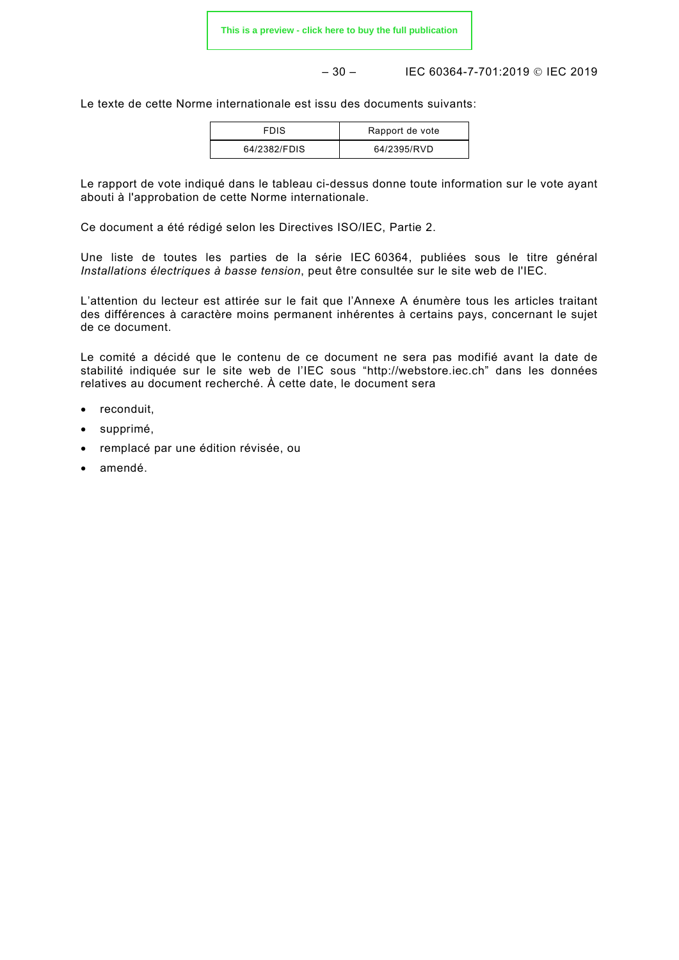$-30 -$  IEC 60364-7-701:2019 © IEC 2019

Le texte de cette Norme internationale est issu des documents suivants:

| <b>FDIS</b>  | Rapport de vote |
|--------------|-----------------|
| 64/2382/FDIS | 64/2395/RVD     |

Le rapport de vote indiqué dans le tableau ci-dessus donne toute information sur le vote ayant abouti à l'approbation de cette Norme internationale.

Ce document a été rédigé selon les Directives ISO/IEC, Partie 2.

Une liste de toutes les parties de la série IEC 60364, publiées sous le titre général *Installations électriques à basse tension*, peut être consultée sur le site web de l'IEC.

L'attention du lecteur est attirée sur le fait que l'Annexe A énumère tous les articles traitant des différences à caractère moins permanent inhérentes à certains pays, concernant le sujet de ce document.

Le comité a décidé que le contenu de ce document ne sera pas modifié avant la date de stabilité indiquée sur le site web de l'IEC sous "http://webstore.iec.ch" dans les données relatives au document recherché. À cette date, le document sera

- reconduit.
- supprimé,
- remplacé par une édition révisée, ou
- amendé.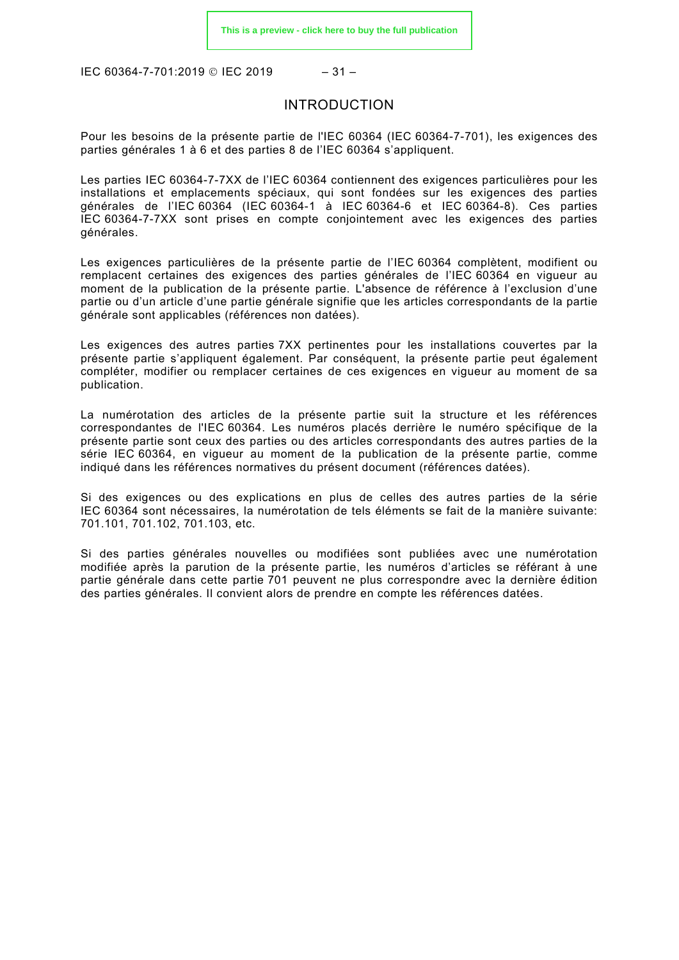<span id="page-9-0"></span>IEC 60364-7-701:2019 © IEC 2019 -31-

# INTRODUCTION

Pour les besoins de la présente partie de l'IEC 60364 (IEC 60364-7-701), les exigences des parties générales 1 à 6 et des parties 8 de l'IEC 60364 s'appliquent.

Les parties IEC 60364-7-7XX de l'IEC 60364 contiennent des exigences particulières pour les installations et emplacements spéciaux, qui sont fondées sur les exigences des parties générales de l'IEC 60364 (IEC 60364-1 à IEC 60364-6 et IEC 60364-8). Ces parties IEC 60364-7-7XX sont prises en compte conjointement avec les exigences des parties générales.

Les exigences particulières de la présente partie de l'IEC 60364 complètent, modifient ou remplacent certaines des exigences des parties générales de l'IEC 60364 en vigueur au moment de la publication de la présente partie. L'absence de référence à l'exclusion d'une partie ou d'un article d'une partie générale signifie que les articles correspondants de la partie générale sont applicables (références non datées).

Les exigences des autres parties 7XX pertinentes pour les installations couvertes par la présente partie s'appliquent également. Par conséquent, la présente partie peut également compléter, modifier ou remplacer certaines de ces exigences en vigueur au moment de sa publication.

La numérotation des articles de la présente partie suit la structure et les références correspondantes de l'IEC 60364. Les numéros placés derrière le numéro spécifique de la présente partie sont ceux des parties ou des articles correspondants des autres parties de la série IEC 60364, en vigueur au moment de la publication de la présente partie, comme indiqué dans les références normatives du présent document (références datées).

Si des exigences ou des explications en plus de celles des autres parties de la série IEC 60364 sont nécessaires, la numérotation de tels éléments se fait de la manière suivante: 701.101, 701.102, 701.103, etc.

Si des parties générales nouvelles ou modifiées sont publiées avec une numérotation modifiée après la parution de la présente partie, les numéros d'articles se référant à une partie générale dans cette partie 701 peuvent ne plus correspondre avec la dernière édition des parties générales. Il convient alors de prendre en compte les références datées.